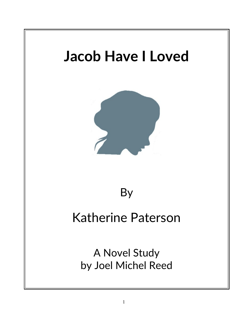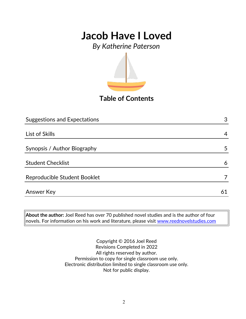*By Katherine Paterson*



**Table of Contents**

| <b>Suggestions and Expectations</b> | 3  |
|-------------------------------------|----|
|                                     |    |
| List of Skills                      | 4  |
|                                     |    |
| Synopsis / Author Biography         | 5  |
|                                     |    |
| <b>Student Checklist</b>            | 6  |
|                                     |    |
| Reproducible Student Booklet        |    |
|                                     |    |
| Answer Key                          | 61 |

**About the author:** Joel Reed has over 70 published novel studies and is the author of four  $|$ novels. For information on his work and literature, please visit  $\overline{\text{www.reednovelstudies.com}}$ 

> Copyright © 2016 Joel Reed Revisions Completed in 2022 All rights reserved by author. Permission to copy for single classroom use only. Electronic distribution limited to single classroom use only. Not for public display.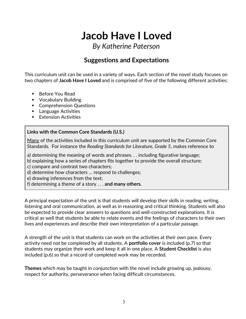*By Katherine Paterson*

### **Suggestions and Expectations**

This curriculum unit can be used in a variety of ways. Each section of the novel study focuses on two chapters of **Jacob Have I Loved** and is comprised of five of the following different activities:

- Before You Read
- **•** Vocabulary Building
- **Comprehension Questions**
- **Language Activities**
- **Extension Activities**

#### **Links with the Common Core Standards (U.S.)**

Many of the activities included in this curriculum unit are supported by the Common Core Standards. For instance the *Reading Standards for Literature, Grade 5*, makes reference to

a) determining the meaning of words and phrases. . . including figurative language;

b) explaining how a series of chapters fits together to provide the overall structure;

c) compare and contrast two characters;

d) determine how characters … respond to challenges;

e) drawing inferences from the text;

f) determining a theme of a story . . . **and many others.**

A principal expectation of the unit is that students will develop their skills in reading, writing, listening and oral communication, as well as in reasoning and critical thinking. Students will also be expected to provide clear answers to questions and well-constructed explanations. It is critical as well that students be able to relate events and the feelings of characters to their own lives and experiences and describe their own interpretation of a particular passage.

A strength of the unit is that students can work on the activities at their own pace. Every activity need not be completed by all students. A **portfolio cover** is included (p.7) so that students may organize their work and keep it all in one place. A **Student Checklist** is also included (p.6) so that a record of completed work may be recorded.

**Themes** which may be taught in conjunction with the novel include growing up, jealousy, respect for authority, perseverance when facing difficult circumstances.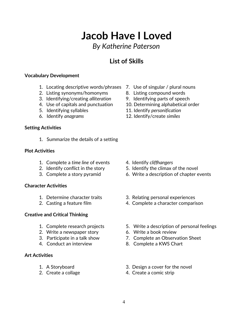### *By Katherine Paterson*

### **List of Skills**

#### **Vocabulary Development**

- 1. Locating descriptive words/phrases 7. Use of singular / plural nouns
- 2. Listing synonyms/homonyms 8. Listing compound words
- 3. Identifying/creating *alliteration* 9. Identifying parts of speech
- 
- 
- 

#### **Setting Activities**

1. Summarize the details of a setting

#### **Plot Activities**

- 1. Complete a *time line* of events 4. Identify *cliffhangers*
- 
- 

#### **Character Activities**

- 
- 

#### **Creative and Critical Thinking**

- 
- 2. Write a newspaper story 6. Write a book review
- 
- 

#### **Art Activities**

- 
- 
- 
- 
- 
- 4. Use of capitals and punctuation 10. Determining alphabetical order
- 5. Identifying syllables 11. Identify *personification*
- 6. Identify *anagrams* 12. Identify/create *similes*

- 
- 2. Identify conflict in the story 5. Identify the climax of the novel
- 3. Complete a story pyramid 6. Write a description of chapter events
- 1. Determine character traits 3. Relating personal experiences
- 2. Casting a feature film 4. Complete a character comparison
- 1. Complete research projects 5. Write a description of personal feelings
	-
- 3. Participate in a talk show 7. Complete an Observation Sheet
- 4. Conduct an interview 8. Complete a KWS Chart
- 1. A Storyboard 3. Design a cover for the novel
- 2. Create a collage 4. Create a comic strip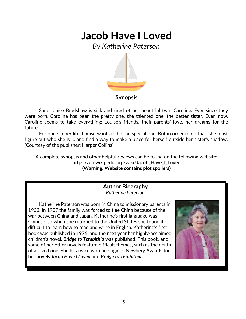*By Katherine Paterson*



#### **Synopsis**

Sara Louise Bradshaw is sick and tired of her beautiful twin Caroline. Ever since they were born, Caroline has been the pretty one, the talented one, the better sister. Even now, Caroline seems to take everything: Louise's friends, their parents' love, her dreams for the future.

For once in her life, Louise wants to be the special one. But in order to do that, she must figure out who she is … and find a way to make a place for herself outside her sister's shadow. (Courtesy of the publisher: Harper Collins)

A complete synopsis and other helpful reviews can be found on the following website: https://en.wikipedia.org/wiki/Jacob\_Have\_I\_Loved **(Warning: Website contains plot spoilers)**

#### **Author Biography** *Katherine Paterson*

Katherine Paterson was born in China to missionary parents in 1932. In 1937 the family was forced to flee China because of the war between China and Japan. Katherine's first language was Chinese, so when she returned to the United States she found it difficult to learn how to read and write in English. Katherine's first book was published in 1976, and the next year her highly-acclaimed children's novel, *Bridge to Terabithia* was published. This book, and some of her other novels feature difficult themes, such as the death of a loved one. She has twice won prestigious Newbery Awards for her novels *Jacob Have I Loved* and *Bridge to Terabithia*.

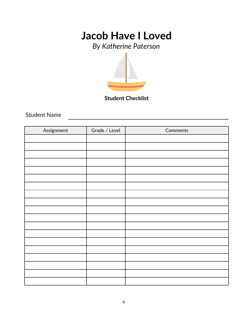*By Katherine Paterson*



**Student Checklist**

Student Name

| Assignment | Grade / Level | Comments |
|------------|---------------|----------|
|            |               |          |
|            |               |          |
|            |               |          |
|            |               |          |
|            |               |          |
|            |               |          |
|            |               |          |
|            |               |          |
|            |               |          |
|            |               |          |
|            |               |          |
|            |               |          |
|            |               |          |
|            |               |          |
|            |               |          |
|            |               |          |
|            |               |          |
|            |               |          |
|            |               |          |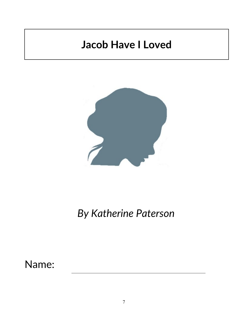

# *By Katherine Paterson*

Name: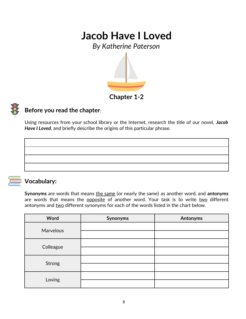*By Katherine Paterson*



### **Chapter 1-2**

### **Before you read the chapter**:

Using resources from your school library or the Internet, research the title of our novel, *Jacob Have I Loved*, and briefly describe the origins of this particular phrase.



### **Vocabulary:**

**Synonyms** are words that means the same (or nearly the same) as another word, and **antonyms** are words that means the opposite of another word. Your task is to write two different antonyms and two different synonyms for each of the words listed in the chart below.

| Word             | Synonyms | <b>Antonyms</b> |
|------------------|----------|-----------------|
| <b>Marvelous</b> |          |                 |
|                  |          |                 |
|                  |          |                 |
| Colleague        |          |                 |
|                  |          |                 |
| Strong           |          |                 |
| Loving           |          |                 |
|                  |          |                 |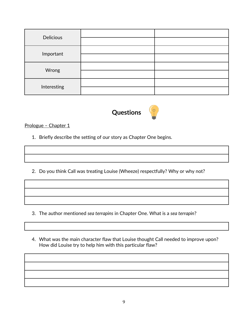| <b>Delicious</b> |  |
|------------------|--|
|                  |  |
| Important        |  |
| Wrong            |  |
|                  |  |
| Interesting      |  |
|                  |  |



Prologue - Chapter 1

- 1. Briefly describe the setting of our story as Chapter One begins.
- 2. Do you think Call was treating Louise (Wheeze) respectfully? Why or why not?

- 3. The author mentioned *sea terrapins* in Chapter One. What is a *sea terrapin*?
- 4. What was the main character flaw that Louise thought Call needed to improve upon? How did Louise try to help him with this particular flaw?

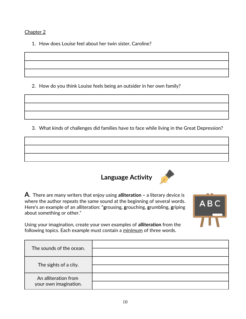#### Chapter 2

1. How does Louise feel about her twin sister, Caroline?

2. How do you think Louise feels being an outsider in her own family?

3. What kinds of challenges did families have to face while living in the Great Depression?



ABC

**A**. There are many writers that enjoy using **alliteration –** a literary device is where the author repeats the same sound at the beginning of several words. Here's an example of an alliteration: "**g**rousing, **g**rouching, **g**rumbling, **g**riping about something or other."

Using your imagination, create your own examples of **alliteration** from the following topics. Each example must contain a minimum of three words.

| The sounds of the ocean.                      |  |
|-----------------------------------------------|--|
|                                               |  |
| The sights of a city.                         |  |
|                                               |  |
| An alliteration from<br>your own imagination. |  |
|                                               |  |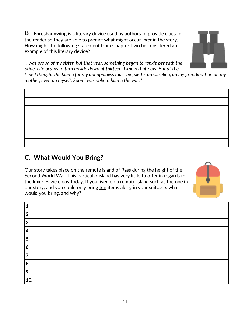**B**. **Foreshadowing** is a literary device used by authors to provide clues for the reader so they are able to predict what might occur *later* in the story. How might the following statement from Chapter Two be considered an example of this literary device?



*"I was proud of my sister, but that year, something began to rankle beneath the pride. Life begins to turn upside down at thirteen. I know that now. But at the* 

*time I thought the blame for my unhappiness must be fixed – on Caroline, on my grandmother, on my mother, even on myself. Soon I was able to blame the war."*

### **C. What Would You Bring?**

Our story takes place on the remote island of Rass during the height of the Second World War. This particular island has very little to offer in regards to the luxuries we enjoy today. If you lived on a remote island such as the one in our story, and you could only bring ten items along in your suitcase, what would you bring, and why?



| 9.  |
|-----|
| 10. |